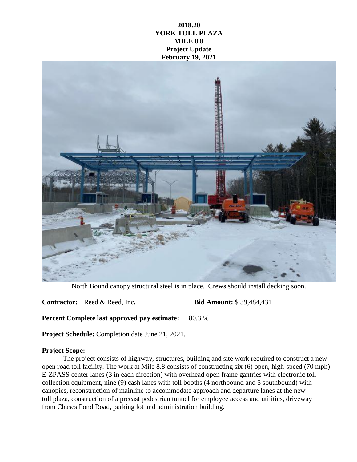## **2018.20 YORK TOLL PLAZA MILE 8.8 Project Update February 19, 2021**



North Bound canopy structural steel is in place. Crews should install decking soon.

**Contractor:** Reed & Reed, Inc**. Bid Amount:** \$ 39,484,431

**Percent Complete last approved pay estimate:** 80.3 %

**Project Schedule:** Completion date June 21, 2021.

## **Project Scope:**

The project consists of highway, structures, building and site work required to construct a new open road toll facility. The work at Mile 8.8 consists of constructing six (6) open, high-speed (70 mph) E-ZPASS center lanes (3 in each direction) with overhead open frame gantries with electronic toll collection equipment, nine (9) cash lanes with toll booths (4 northbound and 5 southbound) with canopies, reconstruction of mainline to accommodate approach and departure lanes at the new toll plaza, construction of a precast pedestrian tunnel for employee access and utilities, driveway from Chases Pond Road, parking lot and administration building.